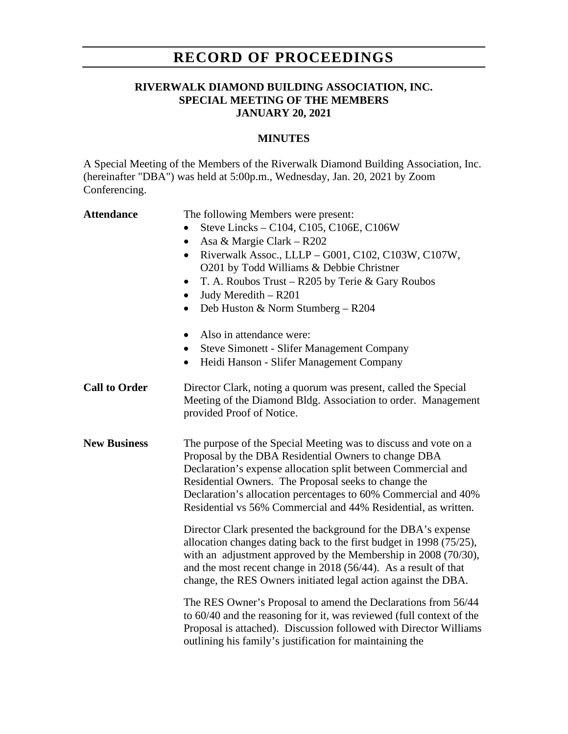# **RECORD OF PROCEEDINGS**

# **RIVERWALK DIAMOND BUILDING ASSOCIATION, INC. SPECIAL MEETING OF THE MEMBERS JANUARY 20, 2021**

### **MINUTES**

A Special Meeting of the Members of the Riverwalk Diamond Building Association, Inc. (hereinafter "DBA") was held at 5:00p.m., Wednesday, Jan. 20, 2021 by Zoom Conferencing.

| <b>Attendance</b>    | The following Members were present:<br>Steve Lincks - C104, C105, C106E, C106W<br>Asa & Margie Clark – R202<br>$\bullet$<br>Riverwalk Assoc., LLLP - G001, C102, C103W, C107W,<br>$\bullet$<br>O201 by Todd Williams & Debbie Christner<br>T. A. Roubos Trust – R205 by Terie & Gary Roubos<br>$\bullet$<br>Judy Meredith - R201<br>$\bullet$<br>Deb Huston & Norm Stumberg - R204<br>$\bullet$<br>Also in attendance were:<br><b>Steve Simonett - Slifer Management Company</b><br>$\bullet$<br>Heidi Hanson - Slifer Management Company<br>$\bullet$                                                                                                                                                                                |
|----------------------|---------------------------------------------------------------------------------------------------------------------------------------------------------------------------------------------------------------------------------------------------------------------------------------------------------------------------------------------------------------------------------------------------------------------------------------------------------------------------------------------------------------------------------------------------------------------------------------------------------------------------------------------------------------------------------------------------------------------------------------|
| <b>Call to Order</b> | Director Clark, noting a quorum was present, called the Special<br>Meeting of the Diamond Bldg. Association to order. Management<br>provided Proof of Notice.                                                                                                                                                                                                                                                                                                                                                                                                                                                                                                                                                                         |
| <b>New Business</b>  | The purpose of the Special Meeting was to discuss and vote on a<br>Proposal by the DBA Residential Owners to change DBA<br>Declaration's expense allocation split between Commercial and<br>Residential Owners. The Proposal seeks to change the<br>Declaration's allocation percentages to 60% Commercial and 40%<br>Residential vs 56% Commercial and 44% Residential, as written.<br>Director Clark presented the background for the DBA's expense<br>allocation changes dating back to the first budget in 1998 (75/25),<br>with an adjustment approved by the Membership in 2008 (70/30),<br>and the most recent change in $2018(56/44)$ . As a result of that<br>change, the RES Owners initiated legal action against the DBA. |
|                      | The RES Owner's Proposal to amend the Declarations from 56/44<br>to 60/40 and the reasoning for it, was reviewed (full context of the<br>Proposal is attached). Discussion followed with Director Williams<br>outlining his family's justification for maintaining the                                                                                                                                                                                                                                                                                                                                                                                                                                                                |